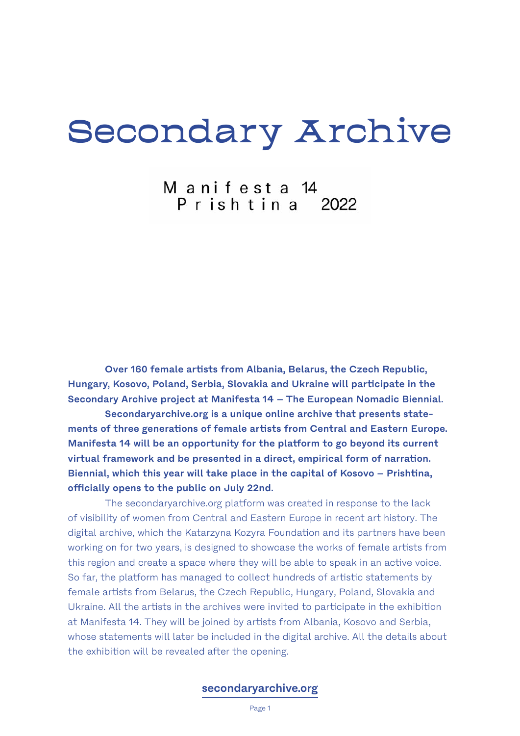# Secondary Archive

Manifesta 14<br>Prishtina 2022

**Over 160 female artists from Albania, Belarus, the Czech Republic, Hungary, Kosovo, Poland, Serbia, Slovakia and Ukraine will participate in the Secondary Archive project at Manifesta 14 – The European Nomadic Biennial.**

**Secondaryarchive.org is a unique online archive that presents statements of three generations of female artists from Central and Eastern Europe. Manifesta 14 will be an opportunity for the platform to go beyond its current virtual framework and be presented in a direct, empirical form of narration. Biennial, which this year will take place in the capital of Kosovo – Prishtina, officially opens to the public on July 22nd.**

The secondaryarchive.org platform was created in response to the lack of visibility of women from Central and Eastern Europe in recent art history. The digital archive, which the Katarzyna Kozyra Foundation and its partners have been working on for two years, is designed to showcase the works of female artists from this region and create a space where they will be able to speak in an active voice. So far, the platform has managed to collect hundreds of artistic statements by female artists from Belarus, the Czech Republic, Hungary, Poland, Slovakia and Ukraine. All the artists in the archives were invited to participate in the exhibition at Manifesta 14. They will be joined by artists from Albania, Kosovo and Serbia, whose statements will later be included in the digital archive. All the details about the exhibition will be revealed after the opening.

## **[secondaryarchive.org](https://secondaryarchive.org/)**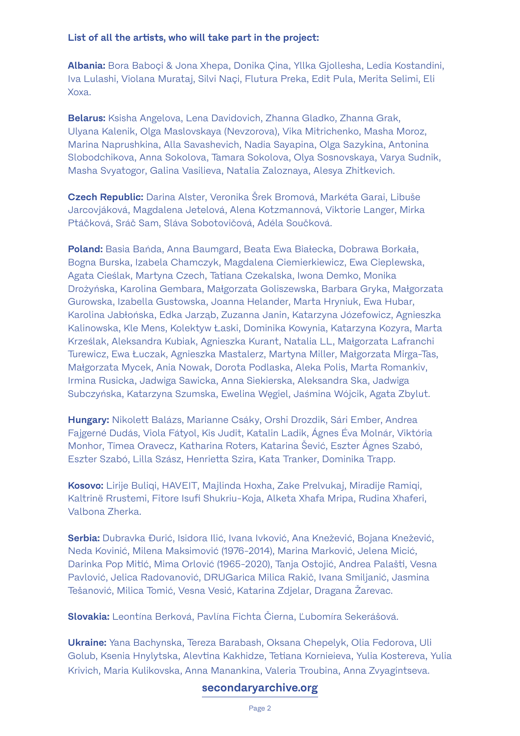## **List of all the artists, who will take part in the project:**

**Albania:** Bora Baboçi & Jona Xhepa, Donika Çina, Yllka Gjollesha, Ledia Kostandini, Iva Lulashi, Violana Murataj, Silvi Naçi, Flutura Preka, Edit Pula, Merita Selimi, Eli Xoxa.

**Belarus:** Ksisha Angelova, Lena Davidovich, Zhanna Gladko, Zhanna Grak, Ulyana Kalenik, Olga Maslovskaya (Nevzorova), Vika Mitrichenko, Masha Moroz, Marina Naprushkina, Alla Savashevich, Nadia Sayapina, Olga Sazykina, Antonina Slobodchikova, Anna Sokolova, Tamara Sokolova, Olya Sosnovskaya, Varya Sudnik, Masha Svyatogor, Galina Vasilieva, Natalia Zaloznaya, Alesya Zhitkevich.

**Czech Republic:** Darina Alster, Veronika Šrek Bromová, Markéta Garai, Libuše Jarcovjáková, Magdalena Jetelová, Alena Kotzmannová, Viktorie Langer, Mirka Ptáčková, Sráč Sam, Sláva Sobotovičová, Adéla Součková.

**Poland:** Basia Bańda, Anna Baumgard, Beata Ewa Białecka, Dobrawa Borkała, Bogna Burska, Izabela Chamczyk, Magdalena Ciemierkiewicz, Ewa Cieplewska, Agata Cieślak, Martyna Czech, Tatiana Czekalska, Iwona Demko, Monika Drożyńska, Karolina Gembara, Małgorzata Goliszewska, Barbara Gryka, Małgorzata Gurowska, Izabella Gustowska, Joanna Helander, Marta Hryniuk, Ewa Hubar, Karolina Jabłońska, Edka Jarząb, Zuzanna Janin, Katarzyna Józefowicz, Agnieszka Kalinowska, Kle Mens, Kolektyw Łaski, Dominika Kowynia, Katarzyna Kozyra, Marta Krześlak, Aleksandra Kubiak, Agnieszka Kurant, Natalia LL, Małgorzata Lafranchi Turewicz, Ewa Łuczak, Agnieszka Mastalerz, Martyna Miller, Małgorzata Mirga-Tas, Małgorzata Mycek, Ania Nowak, Dorota Podlaska, Aleka Polis, Marta Romankiv, Irmina Rusicka, Jadwiga Sawicka, Anna Siekierska, Aleksandra Ska, Jadwiga Subczyńska, Katarzyna Szumska, Ewelina Węgiel, Jaśmina Wójcik, Agata Zbylut.

**Hungary:** Nikolett Balázs, Marianne Csáky, Orshi Drozdik, Sári Ember, Andrea Fajgerné Dudás, Viola Fátyol, Kis Judit, Katalin Ladik, Ágnes Éva Molnár, Viktória Monhor, Tímea Oravecz, Katharina Roters, Katarina Šević, Eszter Ágnes Szabó, Eszter Szabó, Lilla Szász, Henrietta Szira, Kata Tranker, Dominika Trapp.

**Kosovo:** Lirije Buliqi, HAVEIT, Majlinda Hoxha, Zake Prelvukaj, Miradije Ramiqi, Kaltrinë Rrustemi, Fitore Isufi Shukriu-Koja, Alketa Xhafa Mripa, Rudina Xhaferi, Valbona Zherka.

**Serbia:** Dubravka Đurić, Isidora Ilić, Ivana Ivković, Ana Knežević, Bojana Knežević, Neda Kovinić, Milena Maksimović (1976-2014), Marina Marković, Jelena Micić, Darinka Pop Mitić, Mima Orlović (1965-2020), Tanja Ostojić, Andrea Palašti, Vesna Pavlović, Jelica Radovanović, DRUGarica Milica Rakič, Ivana Smiljanić, Jasmina Tešanović, Milica Tomić, Vesna Vesić, Katarina Zdjelar, Dragana Žarevac.

**Slovakia:** Leontína Berková, Pavlína Fichta Čierna, Ľubomíra Sekerášová.

**Ukraine:** Yana Bachynska, Tereza Barabash, Oksana Chepelyk, Olia Fedorova, Uli Golub, Ksenia Hnylytska, Alevtina Kakhidze, Tetiana Kornieieva, Yulia Kostereva, Yulia Krivich, Maria Kulikovska, Anna Manankina, Valeria Troubina, Anna Zvyagintseva.

## **[secondaryarchive.org](https://secondaryarchive.org/)**